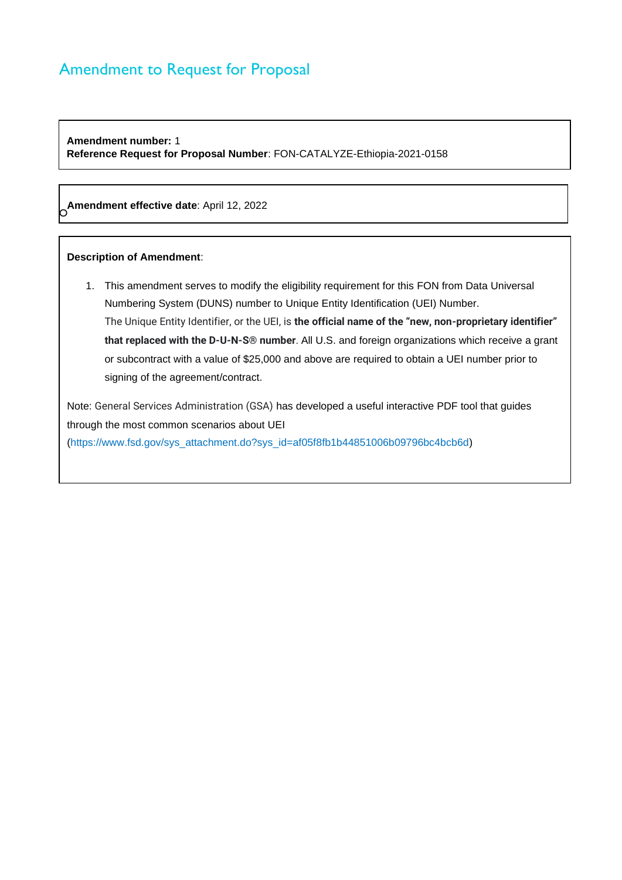# Amendment to Request for Proposal

**Amendment number:** 1 **Reference Request for Proposal Number**: FON-CATALYZE-Ethiopia-2021-0158

O **Amendment effective date**: April 12, 2022

### **Description of Amendment**:

1. This amendment serves to modify the eligibility requirement for this FON from Data Universal Numbering System (DUNS) number to Unique Entity Identification (UEI) Number. The Unique Entity Identifier, or the UEI, is **the official name of the "new, non-proprietary identifier" that replaced with the D-U-N-S® number**. All U.S. and foreign organizations which receive a grant or subcontract with a value of \$25,000 and above are required to obtain a UEI number prior to signing of the agreement/contract.

Note: General Services Administration (GSA) has developed a useful interactive PDF tool that guides through the most common scenarios about UEI (https://www.fsd.gov/sys\_attachment.do?sys\_id=af05f8fb1b44851006b09796bc4bcb6d)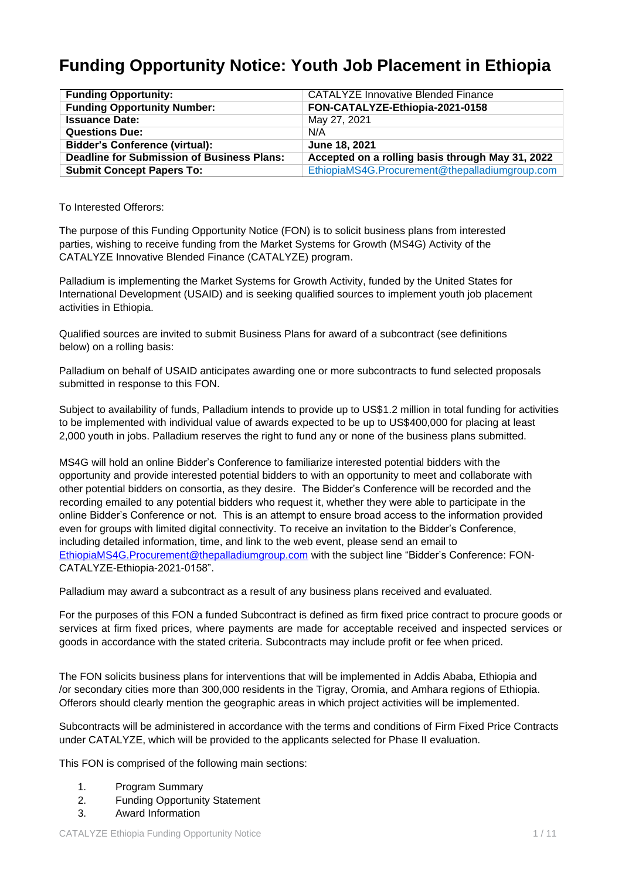# **Funding Opportunity Notice: Youth Job Placement in Ethiopia**

| <b>Funding Opportunity:</b>                       | <b>CATALYZE Innovative Blended Finance</b>       |
|---------------------------------------------------|--------------------------------------------------|
| <b>Funding Opportunity Number:</b>                | FON-CATALYZE-Ethiopia-2021-0158                  |
| <b>Issuance Date:</b>                             | May 27, 2021                                     |
| <b>Questions Due:</b>                             | N/A                                              |
| <b>Bidder's Conference (virtual):</b>             | June 18, 2021                                    |
| <b>Deadline for Submission of Business Plans:</b> | Accepted on a rolling basis through May 31, 2022 |
| <b>Submit Concept Papers To:</b>                  | EthiopiaMS4G.Procurement@thepalladiumgroup.com   |

### To Interested Offerors:

The purpose of this Funding Opportunity Notice (FON) is to solicit business plans from interested parties, wishing to receive funding from the Market Systems for Growth (MS4G) Activity of the CATALYZE Innovative Blended Finance (CATALYZE) program.

Palladium is implementing the Market Systems for Growth Activity, funded by the United States for International Development (USAID) and is seeking qualified sources to implement youth job placement activities in Ethiopia.

Qualified sources are invited to submit Business Plans for award of a subcontract (see definitions below) on a rolling basis:

Palladium on behalf of USAID anticipates awarding one or more subcontracts to fund selected proposals submitted in response to this FON.

Subject to availability of funds, Palladium intends to provide up to US\$1.2 million in total funding for activities to be implemented with individual value of awards expected to be up to US\$400,000 for placing at least 2,000 youth in jobs. Palladium reserves the right to fund any or none of the business plans submitted.

MS4G will hold an online Bidder's Conference to familiarize interested potential bidders with the opportunity and provide interested potential bidders to with an opportunity to meet and collaborate with other potential bidders on consortia, as they desire. The Bidder's Conference will be recorded and the recording emailed to any potential bidders who request it, whether they were able to participate in the online Bidder's Conference or not. This is an attempt to ensure broad access to the information provided even for groups with limited digital connectivity. To receive an invitation to the Bidder's Conference, including detailed information, time, and link to the web event, please send an email to [EthiopiaMS4G.Procurement@thepalladiumgroup.com](mailto:EthiopiaMS4G.Procurement@thepalladiumgroup.com) with the subject line "Bidder's Conference: FON-CATALYZE-Ethiopia-2021-0158".

Palladium may award a subcontract as a result of any business plans received and evaluated.

For the purposes of this FON a funded Subcontract is defined as firm fixed price contract to procure goods or services at firm fixed prices, where payments are made for acceptable received and inspected services or goods in accordance with the stated criteria. Subcontracts may include profit or fee when priced.

The FON solicits business plans for interventions that will be implemented in Addis Ababa, Ethiopia and /or secondary cities more than 300,000 residents in the Tigray, Oromia, and Amhara regions of Ethiopia. Offerors should clearly mention the geographic areas in which project activities will be implemented.

Subcontracts will be administered in accordance with the terms and conditions of Firm Fixed Price Contracts under CATALYZE, which will be provided to the applicants selected for Phase II evaluation.

This FON is comprised of the following main sections:

- 1. Program Summary
- 2. Funding Opportunity Statement
- 3. Award Information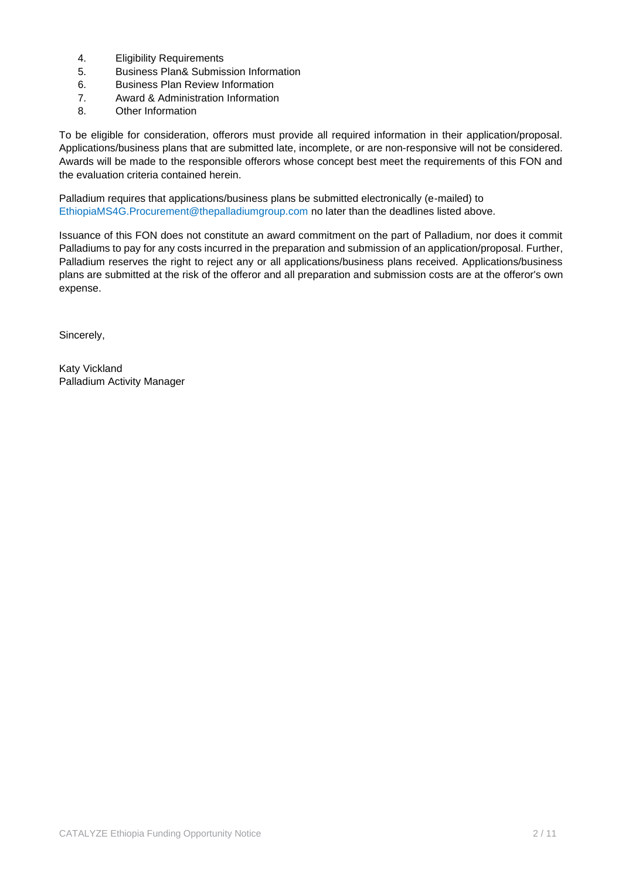- 4. Eligibility Requirements
- 5. Business Plan& Submission Information
- 6. Business Plan Review Information
- 7. Award & Administration Information
- 8. Other Information

To be eligible for consideration, offerors must provide all required information in their application/proposal. Applications/business plans that are submitted late, incomplete, or are non-responsive will not be considered. Awards will be made to the responsible offerors whose concept best meet the requirements of this FON and the evaluation criteria contained herein.

Palladium requires that applications/business plans be submitted electronically (e-mailed) to [EthiopiaMS4G.Procurement@thepalladiumgroup.com n](mailto:EthiopiaMS4G.Procurement@thepalladiumgroup.com)o later than the deadlines listed above.

Issuance of this FON does not constitute an award commitment on the part of Palladium, nor does it commit Palladiums to pay for any costs incurred in the preparation and submission of an application/proposal. Further, Palladium reserves the right to reject any or all applications/business plans received. Applications/business plans are submitted at the risk of the offeror and all preparation and submission costs are at the offeror's own expense.

Sincerely,

Katy Vickland Palladium Activity Manager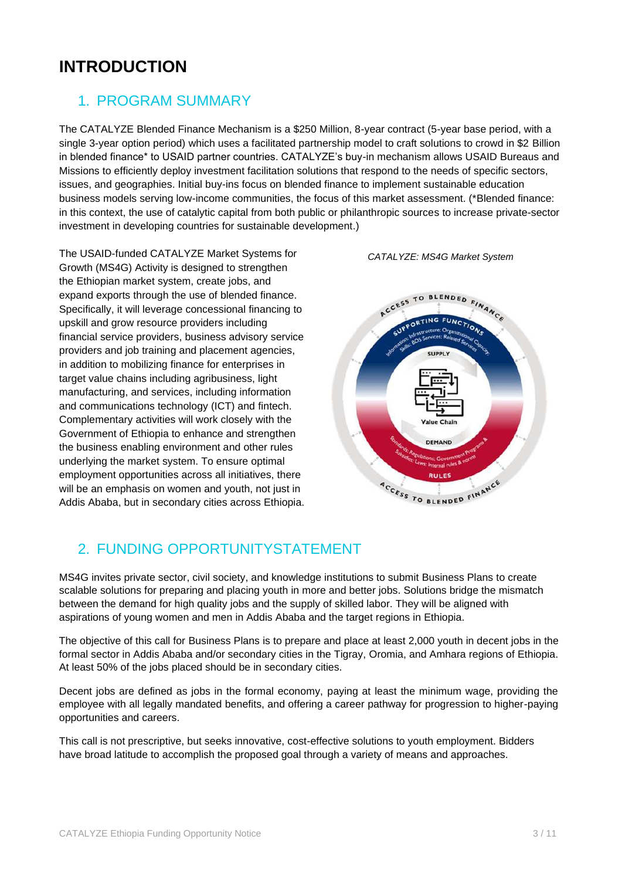# **INTRODUCTION**

# 1. PROGRAM SUMMARY

The CATALYZE Blended Finance Mechanism is a \$250 Million, 8-year contract (5-year base period, with a single 3-year option period) which uses a facilitated partnership model to craft solutions to crowd in \$2 Billion in blended finance\* to USAID partner countries. CATALYZE's buy-in mechanism allows USAID Bureaus and Missions to efficiently deploy investment facilitation solutions that respond to the needs of specific sectors, issues, and geographies. Initial buy-ins focus on blended finance to implement sustainable education business models serving low-income communities, the focus of this market assessment. (\*Blended finance: in this context, the use of catalytic capital from both public or philanthropic sources to increase private-sector investment in developing countries for sustainable development.)

The USAID-funded CATALYZE Market Systems for Growth (MS4G) Activity is designed to strengthen the Ethiopian market system, create jobs, and expand exports through the use of blended finance. Specifically, it will leverage concessional financing to upskill and grow resource providers including financial service providers, business advisory service providers and job training and placement agencies, in addition to mobilizing finance for enterprises in target value chains including agribusiness, light manufacturing, and services, including information and communications technology (ICT) and fintech. Complementary activities will work closely with the Government of Ethiopia to enhance and strengthen the business enabling environment and other rules underlying the market system. To ensure optimal employment opportunities across all initiatives, there will be an emphasis on women and youth, not just in Addis Ababa, but in secondary cities across Ethiopia.





# 2. FUNDING OPPORTUNITYSTATEMENT

MS4G invites private sector, civil society, and knowledge institutions to submit Business Plans to create scalable solutions for preparing and placing youth in more and better jobs. Solutions bridge the mismatch between the demand for high quality jobs and the supply of skilled labor. They will be aligned with aspirations of young women and men in Addis Ababa and the target regions in Ethiopia.

The objective of this call for Business Plans is to prepare and place at least 2,000 youth in decent jobs in the formal sector in Addis Ababa and/or secondary cities in the Tigray, Oromia, and Amhara regions of Ethiopia. At least 50% of the jobs placed should be in secondary cities.

Decent jobs are defined as jobs in the formal economy, paying at least the minimum wage, providing the employee with all legally mandated benefits, and offering a career pathway for progression to higher-paying opportunities and careers.

This call is not prescriptive, but seeks innovative, cost-effective solutions to youth employment. Bidders have broad latitude to accomplish the proposed goal through a variety of means and approaches.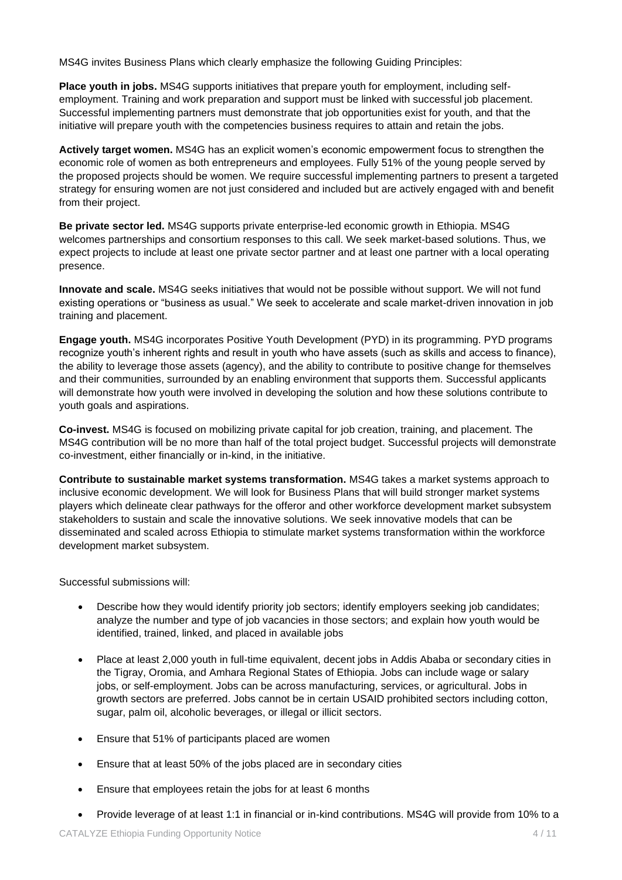MS4G invites Business Plans which clearly emphasize the following Guiding Principles:

**Place youth in jobs.** MS4G supports initiatives that prepare youth for employment, including selfemployment. Training and work preparation and support must be linked with successful job placement. Successful implementing partners must demonstrate that job opportunities exist for youth, and that the initiative will prepare youth with the competencies business requires to attain and retain the jobs.

**Actively target women.** MS4G has an explicit women's economic empowerment focus to strengthen the economic role of women as both entrepreneurs and employees. Fully 51% of the young people served by the proposed projects should be women. We require successful implementing partners to present a targeted strategy for ensuring women are not just considered and included but are actively engaged with and benefit from their project.

**Be private sector led.** MS4G supports private enterprise-led economic growth in Ethiopia. MS4G welcomes partnerships and consortium responses to this call. We seek market-based solutions. Thus, we expect projects to include at least one private sector partner and at least one partner with a local operating presence.

**Innovate and scale.** MS4G seeks initiatives that would not be possible without support. We will not fund existing operations or "business as usual." We seek to accelerate and scale market-driven innovation in job training and placement.

**Engage youth.** MS4G incorporates Positive Youth Development (PYD) in its programming. PYD programs recognize youth's inherent rights and result in youth who have assets (such as skills and access to finance), the ability to leverage those assets (agency), and the ability to contribute to positive change for themselves and their communities, surrounded by an enabling environment that supports them. Successful applicants will demonstrate how youth were involved in developing the solution and how these solutions contribute to youth goals and aspirations.

**Co-invest.** MS4G is focused on mobilizing private capital for job creation, training, and placement. The MS4G contribution will be no more than half of the total project budget. Successful projects will demonstrate co-investment, either financially or in-kind, in the initiative.

**Contribute to sustainable market systems transformation.** MS4G takes a market systems approach to inclusive economic development. We will look for Business Plans that will build stronger market systems players which delineate clear pathways for the offeror and other workforce development market subsystem stakeholders to sustain and scale the innovative solutions. We seek innovative models that can be disseminated and scaled across Ethiopia to stimulate market systems transformation within the workforce development market subsystem.

Successful submissions will:

- Describe how they would identify priority job sectors; identify employers seeking job candidates; analyze the number and type of job vacancies in those sectors; and explain how youth would be identified, trained, linked, and placed in available jobs
- Place at least 2,000 youth in full-time equivalent, decent jobs in Addis Ababa or secondary cities in the Tigray, Oromia, and Amhara Regional States of Ethiopia. Jobs can include wage or salary jobs, or self-employment. Jobs can be across manufacturing, services, or agricultural. Jobs in growth sectors are preferred. Jobs cannot be in certain USAID prohibited sectors including cotton, sugar, palm oil, alcoholic beverages, or illegal or illicit sectors.
- Ensure that 51% of participants placed are women
- Ensure that at least 50% of the jobs placed are in secondary cities
- Ensure that employees retain the jobs for at least 6 months
- Provide leverage of at least 1:1 in financial or in-kind contributions. MS4G will provide from 10% to a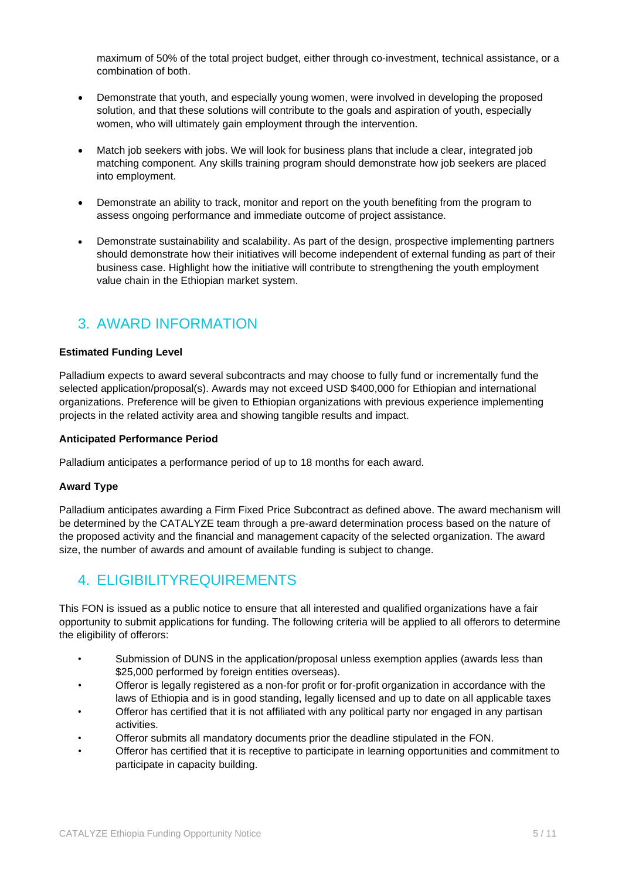maximum of 50% of the total project budget, either through co-investment, technical assistance, or a combination of both.

- Demonstrate that youth, and especially young women, were involved in developing the proposed solution, and that these solutions will contribute to the goals and aspiration of youth, especially women, who will ultimately gain employment through the intervention.
- Match job seekers with jobs. We will look for business plans that include a clear, integrated job matching component. Any skills training program should demonstrate how job seekers are placed into employment.
- Demonstrate an ability to track, monitor and report on the youth benefiting from the program to assess ongoing performance and immediate outcome of project assistance.
- Demonstrate sustainability and scalability. As part of the design, prospective implementing partners should demonstrate how their initiatives will become independent of external funding as part of their business case. Highlight how the initiative will contribute to strengthening the youth employment value chain in the Ethiopian market system.

# 3. AWARD INFORMATION

### **Estimated Funding Level**

Palladium expects to award several subcontracts and may choose to fully fund or incrementally fund the selected application/proposal(s). Awards may not exceed USD \$400,000 for Ethiopian and international organizations. Preference will be given to Ethiopian organizations with previous experience implementing projects in the related activity area and showing tangible results and impact.

## **Anticipated Performance Period**

Palladium anticipates a performance period of up to 18 months for each award.

### **Award Type**

Palladium anticipates awarding a Firm Fixed Price Subcontract as defined above. The award mechanism will be determined by the CATALYZE team through a pre-award determination process based on the nature of the proposed activity and the financial and management capacity of the selected organization. The award size, the number of awards and amount of available funding is subject to change.

# 4. ELIGIBILITYREQUIREMENTS

This FON is issued as a public notice to ensure that all interested and qualified organizations have a fair opportunity to submit applications for funding. The following criteria will be applied to all offerors to determine the eligibility of offerors:

- Submission of DUNS in the application/proposal unless exemption applies (awards less than \$25,000 performed by foreign entities overseas).
- Offeror is legally registered as a non-for profit or for-profit organization in accordance with the laws of Ethiopia and is in good standing, legally licensed and up to date on all applicable taxes
- Offeror has certified that it is not affiliated with any political party nor engaged in any partisan activities.
- Offeror submits all mandatory documents prior the deadline stipulated in the FON.
- Offeror has certified that it is receptive to participate in learning opportunities and commitment to participate in capacity building.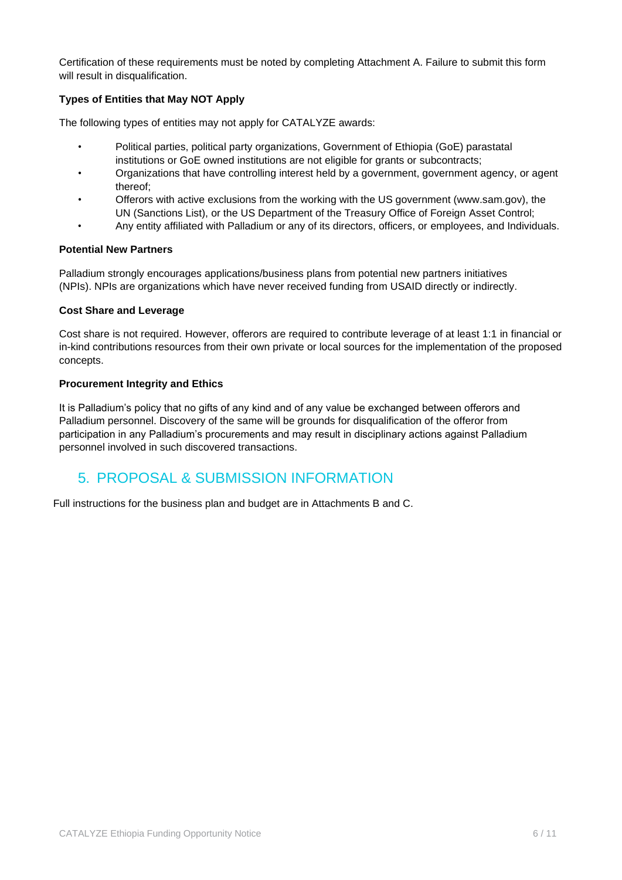Certification of these requirements must be noted by completing Attachment A. Failure to submit this form will result in disqualification.

## **Types of Entities that May NOT Apply**

The following types of entities may not apply for CATALYZE awards:

- Political parties, political party organizations, Government of Ethiopia (GoE) parastatal institutions or GoE owned institutions are not eligible for grants or subcontracts;
- Organizations that have controlling interest held by a government, government agency, or agent thereof;
- Offerors with active exclusions from the working with the US government (www.sam.gov), the UN (Sanctions List), or the US Department of the Treasury Office of Foreign Asset Control;
- Any entity affiliated with Palladium or any of its directors, officers, or employees, and Individuals.

### **Potential New Partners**

Palladium strongly encourages applications/business plans from potential new partners initiatives (NPIs). NPIs are organizations which have never received funding from USAID directly or indirectly.

### **Cost Share and Leverage**

Cost share is not required. However, offerors are required to contribute leverage of at least 1:1 in financial or in-kind contributions resources from their own private or local sources for the implementation of the proposed concepts.

### **Procurement Integrity and Ethics**

It is Palladium's policy that no gifts of any kind and of any value be exchanged between offerors and Palladium personnel. Discovery of the same will be grounds for disqualification of the offeror from participation in any Palladium's procurements and may result in disciplinary actions against Palladium personnel involved in such discovered transactions.

## 5. PROPOSAL & SUBMISSION INFORMATION

Full instructions for the business plan and budget are in Attachments B and C.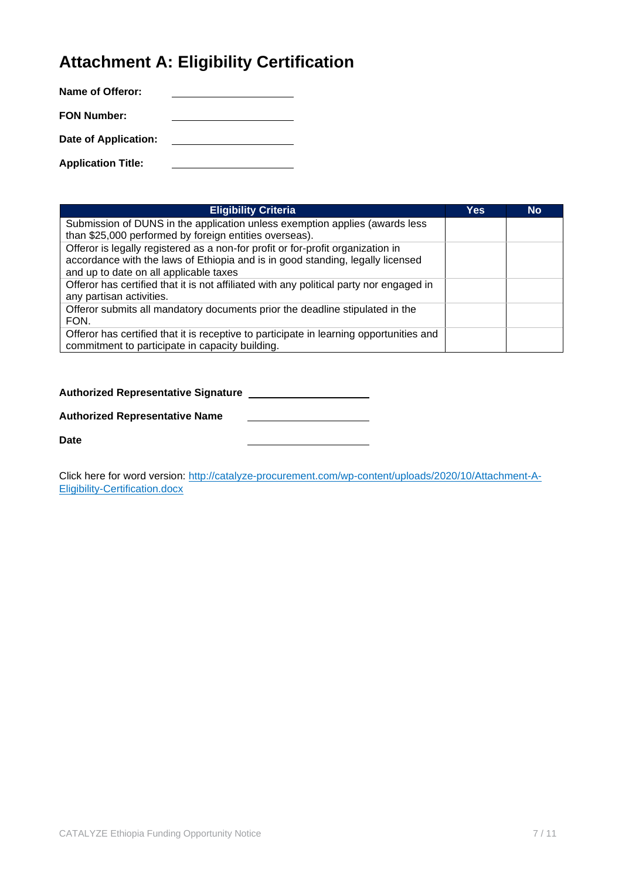# **Attachment A: Eligibility Certification**

| Name of Offeror:            |  |
|-----------------------------|--|
| <b>FON Number:</b>          |  |
| <b>Date of Application:</b> |  |

**Application Title:** <u> The Communication of the Communication</u>

| <b>Eligibility Criteria</b>                                                                                                                                                                                 | Yes | No. |
|-------------------------------------------------------------------------------------------------------------------------------------------------------------------------------------------------------------|-----|-----|
| Submission of DUNS in the application unless exemption applies (awards less<br>than \$25,000 performed by foreign entities overseas).                                                                       |     |     |
| Offeror is legally registered as a non-for profit or for-profit organization in<br>accordance with the laws of Ethiopia and is in good standing, legally licensed<br>and up to date on all applicable taxes |     |     |
| Offeror has certified that it is not affiliated with any political party nor engaged in<br>any partisan activities.                                                                                         |     |     |
| Offeror submits all mandatory documents prior the deadline stipulated in the<br>FON.                                                                                                                        |     |     |
| Offeror has certified that it is receptive to participate in learning opportunities and<br>commitment to participate in capacity building.                                                                  |     |     |

## **Authorized Representative Signature**

**Authorized Representative Name**

**Date**

Click here for word version: [http://catalyze-procurement.com/wp-c](http://catalyze-procurement.com/wp-)ontent/uploads/2020/10/Attachment-A-Eligibility-Certification.docx

<u> 1990 - Johann Barbara, martin a</u>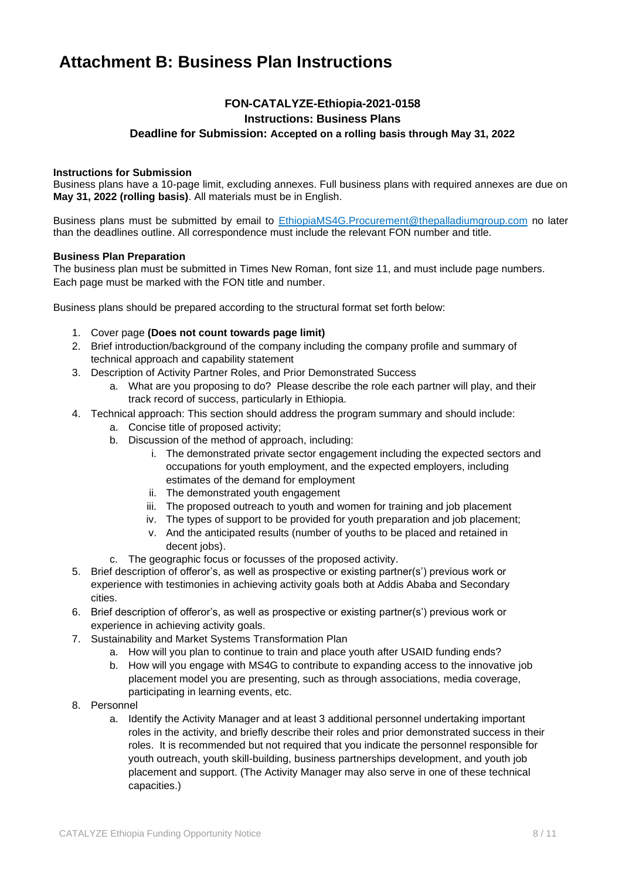# **Attachment B: Business Plan Instructions**

## **FON-CATALYZE-Ethiopia-2021-0158 Instructions: Business Plans Deadline for Submission: Accepted on a rolling basis through May 31, 2022**

#### **Instructions for Submission**

Business plans have a 10-page limit, excluding annexes. Full business plans with required annexes are due on **May 31, 2022 (rolling basis)**. All materials must be in English.

Business plans must be submitted by email to EthiopiaMS4G.Procurement@thepalladiumgroup.com no later than the deadlines outline. All correspondence must include the relevant FON number and title.

#### **Business Plan Preparation**

The business plan must be submitted in Times New Roman, font size 11, and must include page numbers. Each page must be marked with the FON title and number.

Business plans should be prepared according to the structural format set forth below:

- 1. Cover page **(Does not count towards page limit)**
- 2. Brief introduction/background of the company including the company profile and summary of technical approach and capability statement
- 3. Description of Activity Partner Roles, and Prior Demonstrated Success
	- a. What are you proposing to do? Please describe the role each partner will play, and their track record of success, particularly in Ethiopia.
- 4. Technical approach: This section should address the program summary and should include:
	- a. Concise title of proposed activity;
	- b. Discussion of the method of approach, including:
		- i. The demonstrated private sector engagement including the expected sectors and occupations for youth employment, and the expected employers, including estimates of the demand for employment
		- ii. The demonstrated youth engagement
		- iii. The proposed outreach to youth and women for training and job placement
		- iv. The types of support to be provided for youth preparation and job placement;
		- v. And the anticipated results (number of youths to be placed and retained in decent *iobs*).
	- c. The geographic focus or focusses of the proposed activity.
- 5. Brief description of offeror's, as well as prospective or existing partner(s') previous work or experience with testimonies in achieving activity goals both at Addis Ababa and Secondary cities.
- 6. Brief description of offeror's, as well as prospective or existing partner(s') previous work or experience in achieving activity goals.
- 7. Sustainability and Market Systems Transformation Plan
	- a. How will you plan to continue to train and place youth after USAID funding ends?
	- b. How will you engage with MS4G to contribute to expanding access to the innovative job placement model you are presenting, such as through associations, media coverage, participating in learning events, etc.
- 8. Personnel
	- a. Identify the Activity Manager and at least 3 additional personnel undertaking important roles in the activity, and briefly describe their roles and prior demonstrated success in their roles. It is recommended but not required that you indicate the personnel responsible for youth outreach, youth skill-building, business partnerships development, and youth job placement and support. (The Activity Manager may also serve in one of these technical capacities.)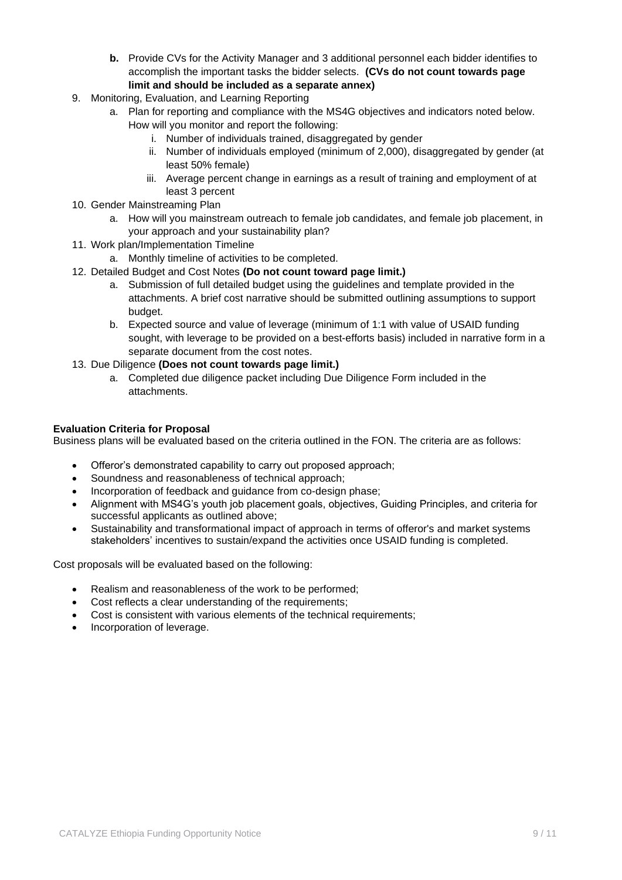- **b.** Provide CVs for the Activity Manager and 3 additional personnel each bidder identifies to accomplish the important tasks the bidder selects. **(CVs do not count towards page limit and should be included as a separate annex)**
- 9. Monitoring, Evaluation, and Learning Reporting
	- a. Plan for reporting and compliance with the MS4G objectives and indicators noted below. How will you monitor and report the following:
		- i. Number of individuals trained, disaggregated by gender
		- ii. Number of individuals employed (minimum of 2,000), disaggregated by gender (at least 50% female)
		- iii. Average percent change in earnings as a result of training and employment of at least 3 percent
- 10. Gender Mainstreaming Plan
	- a. How will you mainstream outreach to female job candidates, and female job placement, in your approach and your sustainability plan?
- 11. Work plan/Implementation Timeline
	- a. Monthly timeline of activities to be completed.
- 12. Detailed Budget and Cost Notes **(Do not count toward page limit.)**
	- a. Submission of full detailed budget using the guidelines and template provided in the attachments. A brief cost narrative should be submitted outlining assumptions to support budget.
	- b. Expected source and value of leverage (minimum of 1:1 with value of USAID funding sought, with leverage to be provided on a best-efforts basis) included in narrative form in a separate document from the cost notes.
- 13. Due Diligence **(Does not count towards page limit.)**
	- a. Completed due diligence packet including Due Diligence Form included in the attachments.

### **Evaluation Criteria for Proposal**

Business plans will be evaluated based on the criteria outlined in the FON. The criteria are as follows:

- Offeror's demonstrated capability to carry out proposed approach;
- Soundness and reasonableness of technical approach;
- Incorporation of feedback and guidance from co-design phase;
- Alignment with MS4G's youth job placement goals, objectives, Guiding Principles, and criteria for successful applicants as outlined above;
- Sustainability and transformational impact of approach in terms of offeror's and market systems stakeholders' incentives to sustain/expand the activities once USAID funding is completed.

Cost proposals will be evaluated based on the following:

- Realism and reasonableness of the work to be performed;
- Cost reflects a clear understanding of the requirements:
- Cost is consistent with various elements of the technical requirements;
- Incorporation of leverage.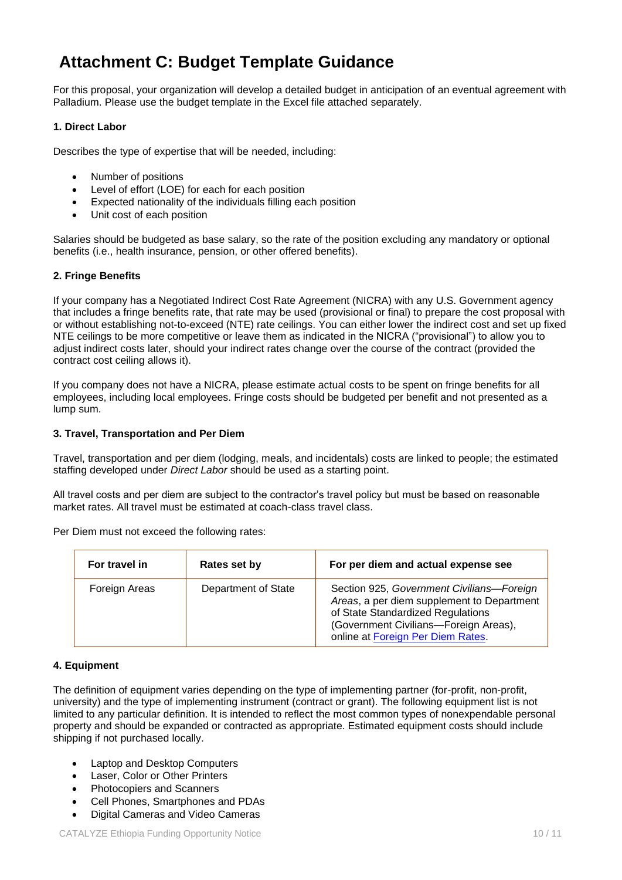# **Attachment C: Budget Template Guidance**

For this proposal, your organization will develop a detailed budget in anticipation of an eventual agreement with Palladium. Please use the budget template in the Excel file attached separately.

### **1. Direct Labor**

Describes the type of expertise that will be needed, including:

- Number of positions
- Level of effort (LOE) for each for each position
- Expected nationality of the individuals filling each position
- Unit cost of each position

Salaries should be budgeted as base salary, so the rate of the position excluding any mandatory or optional benefits (i.e., health insurance, pension, or other offered benefits).

### **2. Fringe Benefits**

If your company has a Negotiated Indirect Cost Rate Agreement (NICRA) with any U.S. Government agency that includes a fringe benefits rate, that rate may be used (provisional or final) to prepare the cost proposal with or without establishing not-to-exceed (NTE) rate ceilings. You can either lower the indirect cost and set up fixed NTE ceilings to be more competitive or leave them as indicated in the NICRA ("provisional") to allow you to adjust indirect costs later, should your indirect rates change over the course of the contract (provided the contract cost ceiling allows it).

If you company does not have a NICRA, please estimate actual costs to be spent on fringe benefits for all employees, including local employees. Fringe costs should be budgeted per benefit and not presented as a lump sum.

#### **3. Travel, Transportation and Per Diem**

Travel, transportation and per diem (lodging, meals, and incidentals) costs are linked to people; the estimated staffing developed under *Direct Labor* should be used as a starting point.

All travel costs and per diem are subject to the contractor's travel policy but must be based on reasonable market rates. All travel must be estimated at coach-class travel class.

Per Diem must not exceed the following rates:

| For travel in | Rates set by        | For per diem and actual expense see                                                                                                                                                                        |
|---------------|---------------------|------------------------------------------------------------------------------------------------------------------------------------------------------------------------------------------------------------|
| Foreign Areas | Department of State | Section 925, Government Civilians-Foreign<br>Areas, a per diem supplement to Department<br>of State Standardized Regulations<br>(Government Civilians-Foreign Areas),<br>online at Foreign Per Diem Rates. |

### **4. Equipment**

The definition of equipment varies depending on the type of implementing partner (for-profit, non-profit, university) and the type of implementing instrument (contract or grant). The following equipment list is not limited to any particular definition. It is intended to reflect the most common types of nonexpendable personal property and should be expanded or contracted as appropriate. Estimated equipment costs should include shipping if not purchased locally.

- Laptop and Desktop Computers
- Laser, Color or Other Printers
- Photocopiers and Scanners
- Cell Phones, Smartphones and PDAs
- Digital Cameras and Video Cameras